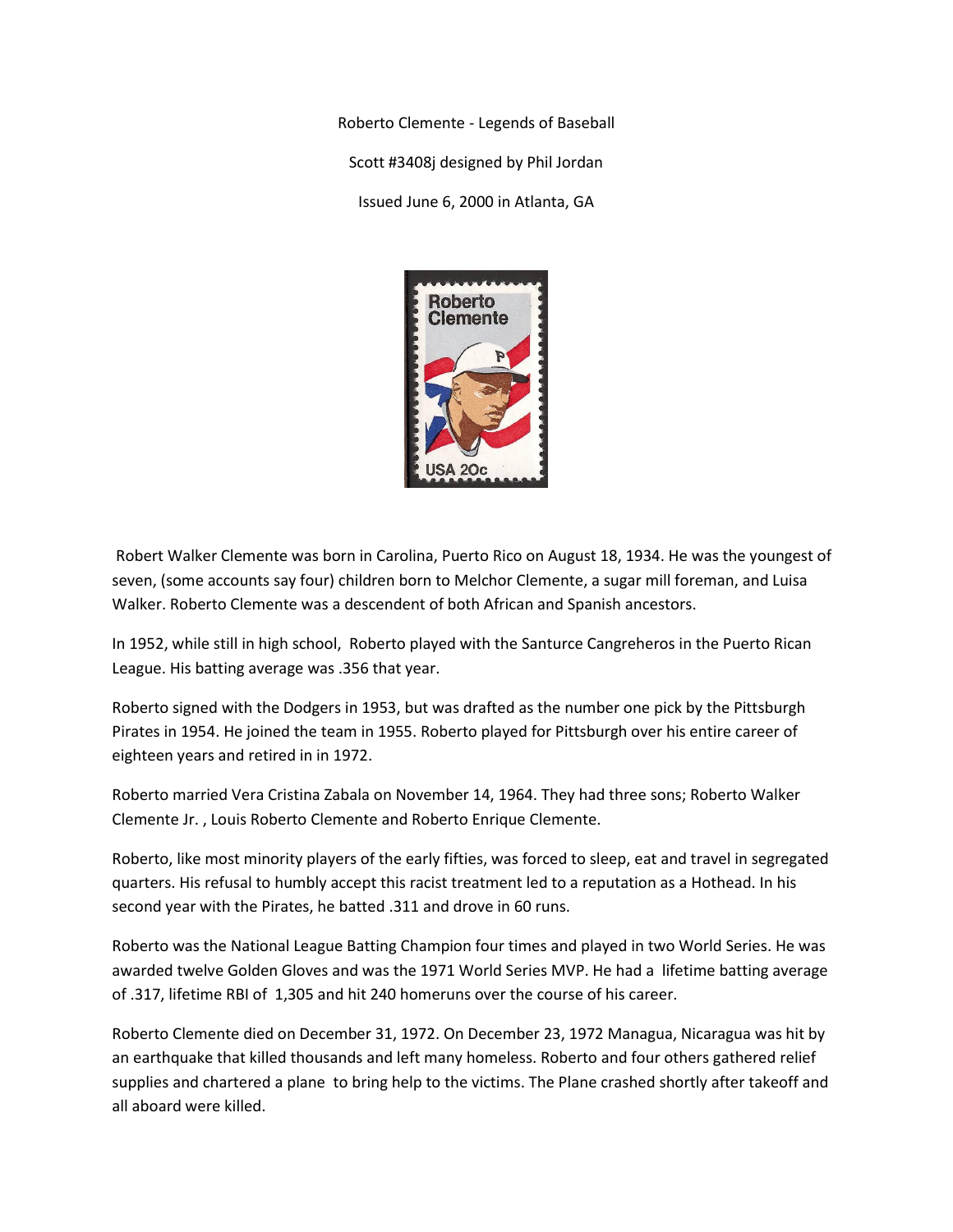Roberto Clemente - Legends of Baseball Scott #3408j designed by Phil Jordan Issued June 6, 2000 in Atlanta, GA



Robert Walker Clemente was born in Carolina, Puerto Rico on August 18, 1934. He was the youngest of seven, (some accounts say four) children born to Melchor Clemente, a sugar mill foreman, and Luisa Walker. Roberto Clemente was a descendent of both African and Spanish ancestors.

In 1952, while still in high school, Roberto played with the Santurce Cangreheros in the Puerto Rican League. His batting average was .356 that year.

Roberto signed with the Dodgers in 1953, but was drafted as the number one pick by the Pittsburgh Pirates in 1954. He joined the team in 1955. Roberto played for Pittsburgh over his entire career of eighteen years and retired in in 1972.

Roberto married Vera Cristina Zabala on November 14, 1964. They had three sons; Roberto Walker Clemente Jr. , Louis Roberto Clemente and Roberto Enrique Clemente.

Roberto, like most minority players of the early fifties, was forced to sleep, eat and travel in segregated quarters. His refusal to humbly accept this racist treatment led to a reputation as a Hothead. In his second year with the Pirates, he batted .311 and drove in 60 runs.

Roberto was the National League Batting Champion four times and played in two World Series. He was awarded twelve Golden Gloves and was the 1971 World Series MVP. He had a lifetime batting average of .317, lifetime RBI of 1,305 and hit 240 homeruns over the course of his career.

Roberto Clemente died on December 31, 1972. On December 23, 1972 Managua, Nicaragua was hit by an earthquake that killed thousands and left many homeless. Roberto and four others gathered relief supplies and chartered a plane to bring help to the victims. The Plane crashed shortly after takeoff and all aboard were killed.